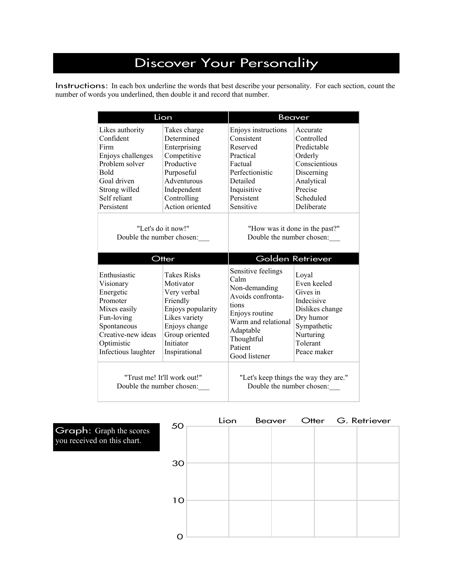## Discover Your Personality

Instructions: In each box underline the words that best describe your personality. For each section, count the number of words you underlined, then double it and record that number.

|                                                                                                                                                            | Lion                                                                                                                                                                       | <b>Beaver</b>                                                                                                                                                             |                                                                                                                                                           |  |  |
|------------------------------------------------------------------------------------------------------------------------------------------------------------|----------------------------------------------------------------------------------------------------------------------------------------------------------------------------|---------------------------------------------------------------------------------------------------------------------------------------------------------------------------|-----------------------------------------------------------------------------------------------------------------------------------------------------------|--|--|
| Likes authority<br>Confident<br>Firm<br>Enjoys challenges<br>Problem solver<br><b>Bold</b><br>Goal driven<br>Strong willed<br>Self reliant<br>Persistent   | Takes charge<br>Determined<br>Enterprising<br>Competitive<br>Productive<br>Purposeful<br>Adventurous<br>Independent<br>Controlling<br>Action oriented                      | Enjoys instructions<br>Consistent<br>Reserved<br>Practical<br>Factual<br>Perfectionistic<br>Detailed<br>Inquisitive<br>Persistent<br>Sensitive                            | Accurate<br>Controlled<br>Predictable<br>Orderly<br>Conscientious<br>Discerning<br>Analytical<br>Precise<br>Scheduled<br>Deliberate                       |  |  |
| "Let's do it now!"<br>Double the number chosen:                                                                                                            |                                                                                                                                                                            | "How was it done in the past?"<br>Double the number chosen:                                                                                                               |                                                                                                                                                           |  |  |
|                                                                                                                                                            |                                                                                                                                                                            |                                                                                                                                                                           |                                                                                                                                                           |  |  |
| Enthusiastic<br>Visionary<br>Energetic<br>Promoter<br>Mixes easily<br>Fun-loving<br>Spontaneous<br>Creative-new ideas<br>Optimistic<br>Infectious laughter | Otter<br><b>Takes Risks</b><br>Motivator<br>Very verbal<br>Friendly<br>Enjoys popularity<br>Likes variety<br>Enjoys change<br>Group oriented<br>Initiator<br>Inspirational | Sensitive feelings<br>Calm<br>Non-demanding<br>Avoids confronta-<br>tions<br>Enjoys routine<br>Warm and relational<br>Adaptable<br>Thoughtful<br>Patient<br>Good listener | Golden Retriever<br>Loyal<br>Even keeled<br>Gives in<br>Indecisive<br>Dislikes change<br>Dry humor<br>Sympathetic<br>Nurturing<br>Tolerant<br>Peace maker |  |  |

Graph: Graph the scores you received on this chart.

|    | Lion |  |  | Beaver Otter G. Retriever |  |
|----|------|--|--|---------------------------|--|
| 50 |      |  |  |                           |  |
|    |      |  |  |                           |  |
|    |      |  |  |                           |  |
| 30 |      |  |  |                           |  |
|    |      |  |  |                           |  |
|    |      |  |  |                           |  |
|    |      |  |  |                           |  |
| 10 |      |  |  |                           |  |
|    |      |  |  |                           |  |
|    |      |  |  |                           |  |
|    |      |  |  |                           |  |
|    |      |  |  |                           |  |